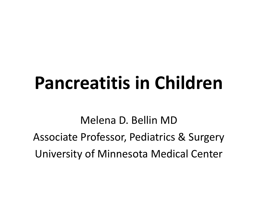# **Pancreatitis in Children**

Melena D. Bellin MD Associate Professor, Pediatrics & Surgery University of Minnesota Medical Center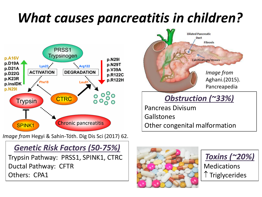### *What causes pancreatitis in children?*



*Image from* Hegyi & Sahin-Tóth. Dig Dis Sci (2017) 62.

#### *Genetic Risk Factors (50-75%)*

Trypsin Pathway: PRSS1, SPINK1, CTRC Ductal Pathway: CFTR Others: CPA1



#### *Obstruction (~33%)*

Pancreas Divisum **Gallstones** Other congenital malformation



*Toxins (~20%)*

Medications Triglycerides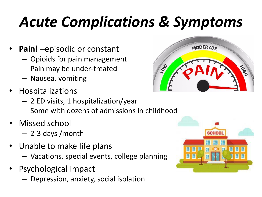# *Acute Complications & Symptoms*

- **Pain! –**episodic or constant
	- Opioids for pain management
	- Pain may be under-treated
	- Nausea, vomiting
- Hospitalizations
	- 2 ED visits, 1 hospitalization/year
	- Some with dozens of admissions in childhood
- Missed school
	- 2-3 days /month
- Unable to make life plans
	- Vacations, special events, college planning
- Psychological impact
	- Depression, anxiety, social isolation



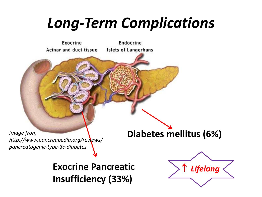## *Long-Term Complications*

Exocrine Endocrine Acinar and duct tissue **Islets of Langerhans Diabetes mellitus (6%)** *Image from http://www.pancreapedia.org/reviews/ pancreatogenic-type-3c-diabetes***Exocrine Pancreatic Insufficiency (33%)**

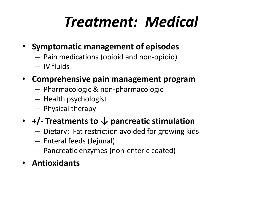# *Treatment: Medical*

- **Symptomatic management of episodes**
	- Pain medications (opioid and non-opioid)
	- IV fluids
- **Comprehensive pain management program**
	- Pharmacologic & non-pharmacologic
	- Health psychologist
	- Physical therapy

#### • **+/- Treatments to ↓ pancreatic stimulation**

- Dietary: Fat restriction avoided for growing kids
- Enteral feeds (Jejunal)
- Pancreatic enzymes (non-enteric coated)
- **Antioxidants**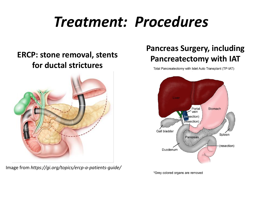### *Treatment: Procedures*

#### **ERCP: stone removal, stents for ductal strictures**



Image from *https://gi.org/topics/ercp-a-patients-guide/*

#### **Pancreas Surgery, including Pancreatectomy with IAT**

Total Pancreatectomy with Islet Auto Transplant (TP-IAT)



\*Grey colored organs are removed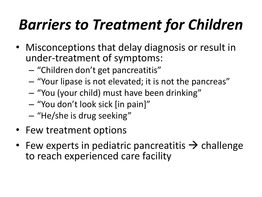# *Barriers to Treatment for Children*

- Misconceptions that delay diagnosis or result in under-treatment of symptoms:
	- "Children don't get pancreatitis"
	- "Your lipase is not elevated; it is not the pancreas"
	- "You (your child) must have been drinking"
	- "You don't look sick [in pain]"
	- "He/she is drug seeking"
- Few treatment options
- Few experts in pediatric pancreatitis  $\rightarrow$  challenge to reach experienced care facility